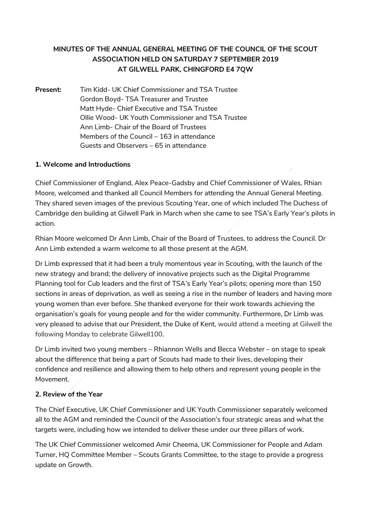# **MINUTES OF THE ANNUAL GENERAL MEETING OF THE COUNCIL OF THE SCOUT ASSOCIATION HELD ON SATURDAY 7 SEPTEMBER 2019 AT GILWELL PARK, CHINGFORD E4 7QW**

**Present:** Tim Kidd- UK Chief Commissioner and TSA Trustee Gordon Boyd- TSA Treasurer and Trustee Matt Hyde- Chief Executive and TSA Trustee Ollie Wood- UK Youth Commissioner and TSA Trustee Ann Limb- Chair of the Board of Trustees Members of the Council – 163 in attendance Guests and Observers – 65 in attendance

# **1. Welcome and Introductions**

Chief Commissioner of England, Alex Peace-Gadsby and Chief Commissioner of Wales, Rhian Moore, welcomed and thanked all Council Members for attending the Annual General Meeting. They shared seven images of the previous Scouting Year, one of which included The Duchess of Cambridge den building at Gilwell Park in March when she came to see TSA's Early Year's pilots in action.

Rhian Moore welcomed Dr Ann Limb, Chair of the Board of Trustees, to address the Council. Dr Ann Limb extended a warm welcome to all those present at the AGM.

Dr Limb expressed that it had been a truly momentous year in Scouting, with the launch of the new strategy and brand; the delivery of innovative projects such as the Digital Programme Planning tool for Cub leaders and the first of TSA's Early Year's pilots; opening more than 150 sections in areas of deprivation, as well as seeing a rise in the number of leaders and having more young women than ever before. She thanked everyone for their work towards achieving the organisation's goals for young people and for the wider community. Furthermore, Dr Limb was very pleased to advise that our President, the Duke of Kent, would attend a meeting at Gilwell the following Monday to celebrate Gilwell100.

Dr Limb invited two young members – Rhiannon Wells and Becca Webster – on stage to speak about the difference that being a part of Scouts had made to their lives, developing their confidence and resilience and allowing them to help others and represent young people in the Movement.

# **2. Review of the Year**

The Chief Executive, UK Chief Commissioner and UK Youth Commissioner separately welcomed all to the AGM and reminded the Council of the Association's four strategic areas and what the targets were, including how we intended to deliver these under our three pillars of work.

The UK Chief Commissioner welcomed Amir Cheema, UK Commissioner for People and Adam Turner, HQ Committee Member – Scouts Grants Committee, to the stage to provide a progress update on Growth.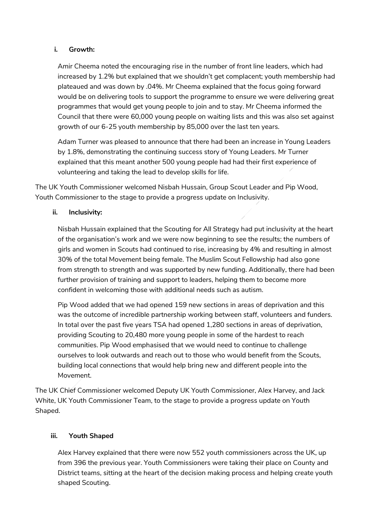#### **i. Growth:**

Amir Cheema noted the encouraging rise in the number of front line leaders, which had increased by 1.2% but explained that we shouldn't get complacent; youth membership had plateaued and was down by .04%. Mr Cheema explained that the focus going forward would be on delivering tools to support the programme to ensure we were delivering great programmes that would get young people to join and to stay. Mr Cheema informed the Council that there were 60,000 young people on waiting lists and this was also set against growth of our 6-25 youth membership by 85,000 over the last ten years.

Adam Turner was pleased to announce that there had been an increase in Young Leaders by 1.8%, demonstrating the continuing success story of Young Leaders. Mr Turner explained that this meant another 500 young people had had their first experience of volunteering and taking the lead to develop skills for life.

The UK Youth Commissioner welcomed Nisbah Hussain, Group Scout Leader and Pip Wood, Youth Commissioner to the stage to provide a progress update on Inclusivity.

# **ii. Inclusivity:**

Nisbah Hussain explained that the Scouting for All Strategy had put inclusivity at the heart of the organisation's work and we were now beginning to see the results; the numbers of girls and women in Scouts had continued to rise, increasing by 4% and resulting in almost 30% of the total Movement being female. The Muslim Scout Fellowship had also gone from strength to strength and was supported by new funding. Additionally, there had been further provision of training and support to leaders, helping them to become more confident in welcoming those with additional needs such as autism.

Pip Wood added that we had opened 159 new sections in areas of deprivation and this was the outcome of incredible partnership working between staff, volunteers and funders. In total over the past five years TSA had opened 1,280 sections in areas of deprivation, providing Scouting to 20,480 more young people in some of the hardest to reach communities. Pip Wood emphasised that we would need to continue to challenge ourselves to look outwards and reach out to those who would benefit from the Scouts, building local connections that would help bring new and different people into the Movement.

The UK Chief Commissioner welcomed Deputy UK Youth Commissioner, Alex Harvey, and Jack White, UK Youth Commissioner Team, to the stage to provide a progress update on Youth Shaped.

# **iii. Youth Shaped**

Alex Harvey explained that there were now 552 youth commissioners across the UK, up from 396 the previous year. Youth Commissioners were taking their place on County and District teams, sitting at the heart of the decision making process and helping create youth shaped Scouting.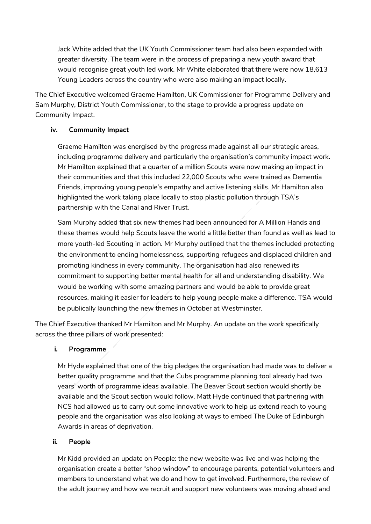Jack White added that the UK Youth Commissioner team had also been expanded with greater diversity. The team were in the process of preparing a new youth award that would recognise great youth led work. Mr White elaborated that there were now 18,613 Young Leaders across the country who were also making an impact locally**.**

The Chief Executive welcomed Graeme Hamilton, UK Commissioner for Programme Delivery and Sam Murphy, District Youth Commissioner, to the stage to provide a progress update on Community Impact.

# **iv. Community Impact**

Graeme Hamilton was energised by the progress made against all our strategic areas, including programme delivery and particularly the organisation's community impact work. Mr Hamilton explained that a quarter of a million Scouts were now making an impact in their communities and that this included 22,000 Scouts who were trained as Dementia Friends, improving young people's empathy and active listening skills. Mr Hamilton also highlighted the work taking place locally to stop plastic pollution through TSA's partnership with the Canal and River Trust.

Sam Murphy added that six new themes had been announced for A Million Hands and these themes would help Scouts leave the world a little better than found as well as lead to more youth-led Scouting in action. Mr Murphy outlined that the themes included protecting the environment to ending homelessness, supporting refugees and displaced children and promoting kindness in every community. The organisation had also renewed its commitment to supporting better mental health for all and understanding disability. We would be working with some amazing partners and would be able to provide great resources, making it easier for leaders to help young people make a difference. TSA would be publically launching the new themes in October at Westminster.

The Chief Executive thanked Mr Hamilton and Mr Murphy. An update on the work specifically across the three pillars of work presented:

# **i. Programme**

Mr Hyde explained that one of the big pledges the organisation had made was to deliver a better quality programme and that the Cubs programme planning tool already had two years' worth of programme ideas available. The Beaver Scout section would shortly be available and the Scout section would follow. Matt Hyde continued that partnering with NCS had allowed us to carry out some innovative work to help us extend reach to young people and the organisation was also looking at ways to embed The Duke of Edinburgh Awards in areas of deprivation.

#### **ii. People**

Mr Kidd provided an update on People: the new website was live and was helping the organisation create a better "shop window" to encourage parents, potential volunteers and members to understand what we do and how to get involved. Furthermore, the review of the adult journey and how we recruit and support new volunteers was moving ahead and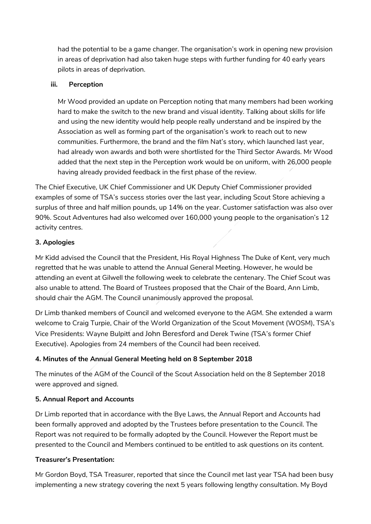had the potential to be a game changer. The organisation's work in opening new provision in areas of deprivation had also taken huge steps with further funding for 40 early years pilots in areas of deprivation.

#### **iii. Perception**

Mr Wood provided an update on Perception noting that many members had been working hard to make the switch to the new brand and visual identity. Talking about skills for life and using the new identity would help people really understand and be inspired by the Association as well as forming part of the organisation's work to reach out to new communities. Furthermore, the brand and the film Nat's story, which launched last year, had already won awards and both were shortlisted for the Third Sector Awards. Mr Wood added that the next step in the Perception work would be on uniform, with 26,000 people having already provided feedback in the first phase of the review.

The Chief Executive, UK Chief Commissioner and UK Deputy Chief Commissioner provided examples of some of TSA's success stories over the last year, including Scout Store achieving a surplus of three and half million pounds, up 14% on the year. Customer satisfaction was also over 90%. Scout Adventures had also welcomed over 160,000 young people to the organisation's 12 activity centres.

# **3. Apologies**

Mr Kidd advised the Council that the President, His Royal Highness The Duke of Kent, very much regretted that he was unable to attend the Annual General Meeting. However, he would be attending an event at Gilwell the following week to celebrate the centenary. The Chief Scout was also unable to attend. The Board of Trustees proposed that the Chair of the Board, Ann Limb, should chair the AGM. The Council unanimously approved the proposal.

Dr Limb thanked members of Council and welcomed everyone to the AGM. She extended a warm welcome to Craig Turpie, Chair of the World Organization of the Scout Movement (WOSM), TSA's Vice Presidents: Wayne Bulpitt and John Beresford and Derek Twine (TSA's former Chief Executive). Apologies from 24 members of the Council had been received.

# **4. Minutes of the Annual General Meeting held on 8 September 2018**

The minutes of the AGM of the Council of the Scout Association held on the 8 September 2018 were approved and signed.

# **5. Annual Report and Accounts**

Dr Limb reported that in accordance with the Bye Laws, the Annual Report and Accounts had been formally approved and adopted by the Trustees before presentation to the Council. The Report was not required to be formally adopted by the Council. However the Report must be presented to the Council and Members continued to be entitled to ask questions on its content.

# **Treasurer's Presentation:**

Mr Gordon Boyd, TSA Treasurer, reported that since the Council met last year TSA had been busy implementing a new strategy covering the next 5 years following lengthy consultation. My Boyd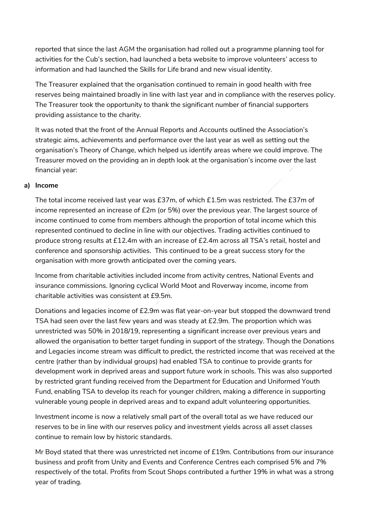reported that since the last AGM the organisation had rolled out a programme planning tool for activities for the Cub's section, had launched a beta website to improve volunteers' access to information and had launched the Skills for Life brand and new visual identity.

The Treasurer explained that the organisation continued to remain in good health with free reserves being maintained broadly in line with last year and in compliance with the reserves policy. The Treasurer took the opportunity to thank the significant number of financial supporters providing assistance to the charity.

It was noted that the front of the Annual Reports and Accounts outlined the Association's strategic aims, achievements and performance over the last year as well as setting out the organisation's Theory of Change, which helped us identify areas where we could improve. The Treasurer moved on the providing an in depth look at the organisation's income over the last financial year:

# **a) Income**

The total income received last year was £37m, of which £1.5m was restricted. The £37m of income represented an increase of £2m (or 5%) over the previous year. The largest source of income continued to come from members although the proportion of total income which this represented continued to decline in line with our objectives. Trading activities continued to produce strong results at £12.4m with an increase of £2.4m across all TSA's retail, hostel and conference and sponsorship activities. This continued to be a great success story for the organisation with more growth anticipated over the coming years.

Income from charitable activities included income from activity centres, National Events and insurance commissions. Ignoring cyclical World Moot and Roverway income, income from charitable activities was consistent at £9.5m.

Donations and legacies income of £2.9m was flat year-on-year but stopped the downward trend TSA had seen over the last few years and was steady at £2.9m. The proportion which was unrestricted was 50% in 2018/19, representing a significant increase over previous years and allowed the organisation to better target funding in support of the strategy. Though the Donations and Legacies income stream was difficult to predict, the restricted income that was received at the centre (rather than by individual groups) had enabled TSA to continue to provide grants for development work in deprived areas and support future work in schools. This was also supported by restricted grant funding received from the Department for Education and Uniformed Youth Fund, enabling TSA to develop its reach for younger children, making a difference in supporting vulnerable young people in deprived areas and to expand adult volunteering opportunities.

Investment income is now a relatively small part of the overall total as we have reduced our reserves to be in line with our reserves policy and investment yields across all asset classes continue to remain low by historic standards.

Mr Boyd stated that there was unrestricted net income of £19m. Contributions from our insurance business and profit from Unity and Events and Conference Centres each comprised 5% and 7% respectively of the total. Profits from Scout Shops contributed a further 19% in what was a strong year of trading.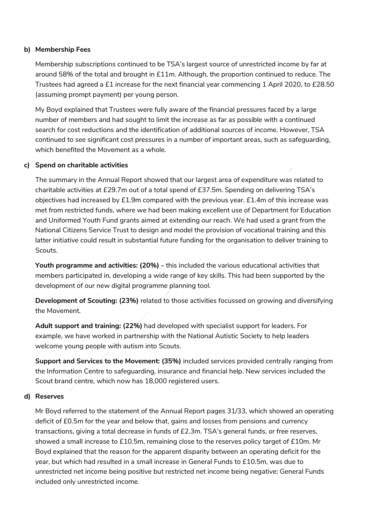#### **b) Membership Fees**

Membership subscriptions continued to be TSA's largest source of unrestricted income by far at around 58% of the total and brought in £11m. Although, the proportion continued to reduce. The Trustees had agreed a £1 increase for the next financial year commencing 1 April 2020, to £28.50 (assuming prompt payment) per young person.

My Boyd explained that Trustees were fully aware of the financial pressures faced by a large number of members and had sought to limit the increase as far as possible with a continued search for cost reductions and the identification of additional sources of income. However, TSA continued to see significant cost pressures in a number of important areas, such as safeguarding, which benefited the Movement as a whole.

#### **c) Spend on charitable activities**

The summary in the Annual Report showed that our largest area of expenditure was related to charitable activities at £29.7m out of a total spend of £37.5m. Spending on delivering TSA's objectives had increased by £1.9m compared with the previous year. £1.4m of this increase was met from restricted funds, where we had been making excellent use of Department for Education and Uniformed Youth Fund grants aimed at extending our reach. We had used a grant from the National Citizens Service Trust to design and model the provision of vocational training and this latter initiative could result in substantial future funding for the organisation to deliver training to Scouts.

**Youth programme and activities: (20%) -** this included the various educational activities that members participated in, developing a wide range of key skills. This had been supported by the development of our new digital programme planning tool.

**Development of Scouting: (23%)** related to those activities focussed on growing and diversifying the Movement.

**Adult support and training: (22%)** had developed with specialist support for leaders. For example, we have worked in partnership with the National Autistic Society to help leaders welcome young people with autism into Scouts.

**Support and Services to the Movement: (35%)** included services provided centrally ranging from the Information Centre to safeguarding, insurance and financial help. New services included the Scout brand centre, which now has 18,000 registered users.

#### **d) Reserves**

Mr Boyd referred to the statement of the Annual Report pages 31/33, which showed an operating deficit of £0.5m for the year and below that, gains and losses from pensions and currency transactions, giving a total decrease in funds of £2.3m. TSA's general funds, or free reserves, showed a small increase to £10.5m, remaining close to the reserves policy target of £10m. Mr Boyd explained that the reason for the apparent disparity between an operating deficit for the year, but which had resulted in a small increase in General Funds to £10.5m, was due to unrestricted net income being positive but restricted net income being negative; General Funds included only unrestricted income.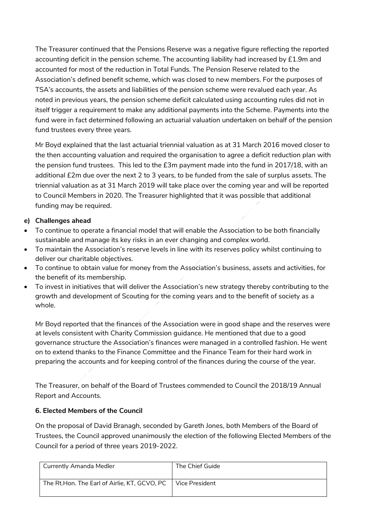The Treasurer continued that the Pensions Reserve was a negative figure reflecting the reported accounting deficit in the pension scheme. The accounting liability had increased by £1.9m and accounted for most of the reduction in Total Funds. The Pension Reserve related to the Association's defined benefit scheme, which was closed to new members. For the purposes of TSA's accounts, the assets and liabilities of the pension scheme were revalued each year. As noted in previous years, the pension scheme deficit calculated using accounting rules did not in itself trigger a requirement to make any additional payments into the Scheme. Payments into the fund were in fact determined following an actuarial valuation undertaken on behalf of the pension fund trustees every three years.

Mr Boyd explained that the last actuarial triennial valuation as at 31 March 2016 moved closer to the then accounting valuation and required the organisation to agree a deficit reduction plan with the pension fund trustees. This led to the £3m payment made into the fund in 2017/18, with an additional £2m due over the next 2 to 3 years, to be funded from the sale of surplus assets. The triennial valuation as at 31 March 2019 will take place over the coming year and will be reported to Council Members in 2020. The Treasurer highlighted that it was possible that additional funding may be required.

# **e) Challenges ahead**

- To continue to operate a financial model that will enable the Association to be both financially sustainable and manage its key risks in an ever changing and complex world.
- To maintain the Association's reserve levels in line with its reserves policy whilst continuing to deliver our charitable objectives.
- To continue to obtain value for money from the Association's business, assets and activities, for the benefit of its membership.
- To invest in initiatives that will deliver the Association's new strategy thereby contributing to the growth and development of Scouting for the coming years and to the benefit of society as a whole.

Mr Boyd reported that the finances of the Association were in good shape and the reserves were at levels consistent with Charity Commission guidance. He mentioned that due to a good governance structure the Association's finances were managed in a controlled fashion. He went on to extend thanks to the Finance Committee and the Finance Team for their hard work in preparing the accounts and for keeping control of the finances during the course of the year.

The Treasurer, on behalf of the Board of Trustees commended to Council the 2018/19 Annual Report and Accounts.

# **6. Elected Members of the Council**

On the proposal of David Branagh, seconded by Gareth Jones, both Members of the Board of Trustees, the Council approved unanimously the election of the following Elected Members of the Council for a period of three years 2019-2022.

| <b>Currently Amanda Medler</b>               | The Chief Guide |
|----------------------------------------------|-----------------|
| The Rt.Hon. The Earl of Airlie, KT, GCVO, PC | Vice President  |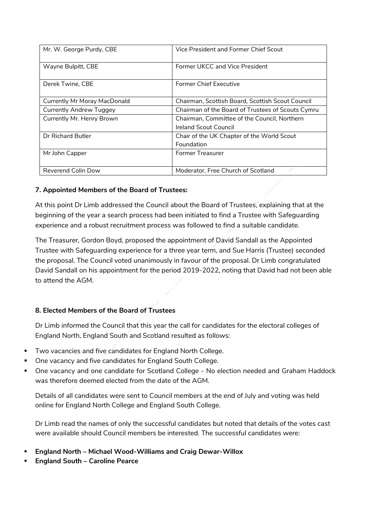| Mr. W. George Purdy, CBE            | Vice President and Former Chief Scout             |
|-------------------------------------|---------------------------------------------------|
| Wayne Bulpitt, CBE                  | Former UKCC and Vice President                    |
| Derek Twine, CBE                    | <b>Former Chief Executive</b>                     |
| <b>Currently Mr Moray MacDonald</b> | Chairman, Scottish Board, Scottish Scout Council  |
| <b>Currently Andrew Tuggey</b>      | Chairman of the Board of Trustees of Scouts Cymru |
| Currently Mr. Henry Brown           | Chairman, Committee of the Council, Northern      |
|                                     | <b>Ireland Scout Council</b>                      |
| Dr Richard Butler                   | Chair of the UK Chapter of the World Scout        |
|                                     | Foundation                                        |
| Mr John Capper                      | <b>Former Treasurer</b>                           |
|                                     |                                                   |
| <b>Reverend Colin Dow</b>           | Moderator, Free Church of Scotland                |

# **7. Appointed Members of the Board of Trustees:**

At this point Dr Limb addressed the Council about the Board of Trustees, explaining that at the beginning of the year a search process had been initiated to find a Trustee with Safeguarding experience and a robust recruitment process was followed to find a suitable candidate.

The Treasurer, Gordon Boyd, proposed the appointment of David Sandall as the Appointed Trustee with Safeguarding experience for a three year term, and Sue Harris (Trustee) seconded the proposal. The Council voted unanimously in favour of the proposal. Dr Limb congratulated David Sandall on his appointment for the period 2019-2022, noting that David had not been able to attend the AGM.

# **8. Elected Members of the Board of Trustees**

Dr Limb informed the Council that this year the call for candidates for the electoral colleges of England North, England South and Scotland resulted as follows:

- **Two vacancies and five candidates for England North College.**
- **One vacancy and five candidates for England South College.**
- **Dime vacancy and one candidate for Scotland College No election needed and Graham Haddock** was therefore deemed elected from the date of the AGM.

Details of all candidates were sent to Council members at the end of July and voting was held online for England North College and England South College.

Dr Limb read the names of only the successful candidates but noted that details of the votes cast were available should Council members be interested. The successful candidates were:

- **England North – Michael Wood-Williams and Craig Dewar-Willox**
- **England South – Caroline Pearce**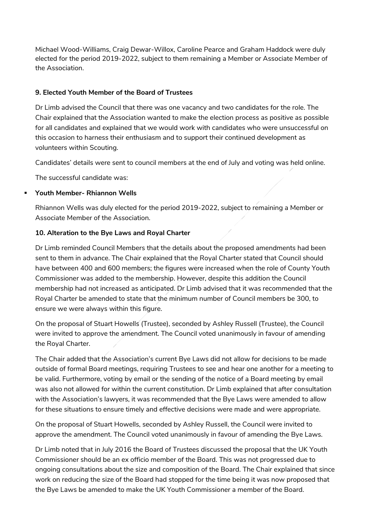Michael Wood-Williams, Craig Dewar-Willox, Caroline Pearce and Graham Haddock were duly elected for the period 2019-2022, subject to them remaining a Member or Associate Member of the Association.

#### **9. Elected Youth Member of the Board of Trustees**

Dr Limb advised the Council that there was one vacancy and two candidates for the role. The Chair explained that the Association wanted to make the election process as positive as possible for all candidates and explained that we would work with candidates who were unsuccessful on this occasion to harness their enthusiasm and to support their continued development as volunteers within Scouting.

Candidates' details were sent to council members at the end of July and voting was held online.

The successful candidate was:

#### **Youth Member- Rhiannon Wells**

Rhiannon Wells was duly elected for the period 2019-2022, subject to remaining a Member or Associate Member of the Association.

#### **10. Alteration to the Bye Laws and Royal Charter**

Dr Limb reminded Council Members that the details about the proposed amendments had been sent to them in advance. The Chair explained that the Royal Charter stated that Council should have between 400 and 600 members; the figures were increased when the role of County Youth Commissioner was added to the membership. However, despite this addition the Council membership had not increased as anticipated. Dr Limb advised that it was recommended that the Royal Charter be amended to state that the minimum number of Council members be 300, to ensure we were always within this figure.

On the proposal of Stuart Howells (Trustee), seconded by Ashley Russell (Trustee), the Council were invited to approve the amendment. The Council voted unanimously in favour of amending the Royal Charter.

The Chair added that the Association's current Bye Laws did not allow for decisions to be made outside of formal Board meetings, requiring Trustees to see and hear one another for a meeting to be valid. Furthermore, voting by email or the sending of the notice of a Board meeting by email was also not allowed for within the current constitution. Dr Limb explained that after consultation with the Association's lawyers, it was recommended that the Bye Laws were amended to allow for these situations to ensure timely and effective decisions were made and were appropriate.

On the proposal of Stuart Howells, seconded by Ashley Russell, the Council were invited to approve the amendment. The Council voted unanimously in favour of amending the Bye Laws.

Dr Limb noted that in July 2016 the Board of Trustees discussed the proposal that the UK Youth Commissioner should be an ex officio member of the Board. This was not progressed due to ongoing consultations about the size and composition of the Board. The Chair explained that since work on reducing the size of the Board had stopped for the time being it was now proposed that the Bye Laws be amended to make the UK Youth Commissioner a member of the Board.